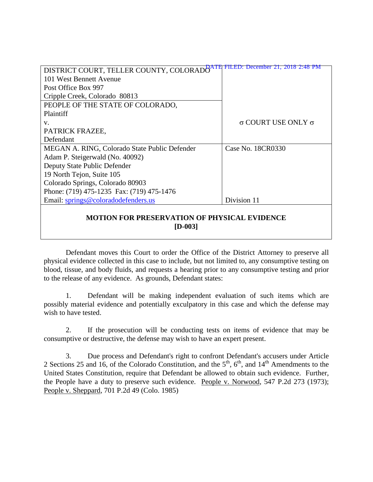| DISTRICT COURT, TELLER COUNTY, COLORADO <sup>ATH</sup> FILED: December 21, 2018 2:48 PM |                                  |
|-----------------------------------------------------------------------------------------|----------------------------------|
| 101 West Bennett Avenue                                                                 |                                  |
| Post Office Box 997                                                                     |                                  |
| Cripple Creek, Colorado 80813                                                           |                                  |
| PEOPLE OF THE STATE OF COLORADO,                                                        |                                  |
| Plaintiff                                                                               |                                  |
| V.                                                                                      | $\sigma$ COURT USE ONLY $\sigma$ |
| PATRICK FRAZEE,                                                                         |                                  |
| Defendant                                                                               |                                  |
| MEGAN A. RING, Colorado State Public Defender                                           | Case No. 18CR0330                |
| Adam P. Steigerwald (No. 40092)                                                         |                                  |
| Deputy State Public Defender                                                            |                                  |
| 19 North Tejon, Suite 105                                                               |                                  |
| Colorado Springs, Colorado 80903                                                        |                                  |
| Phone: (719) 475-1235 Fax: (719) 475-1476                                               |                                  |
| Email: springs@coloradodefenders.us                                                     | Division 11                      |
|                                                                                         |                                  |
|                                                                                         |                                  |

## **MOTION FOR PRESERVATION OF PHYSICAL EVIDENCE [D-003]**

Defendant moves this Court to order the Office of the District Attorney to preserve all physical evidence collected in this case to include, but not limited to, any consumptive testing on blood, tissue, and body fluids, and requests a hearing prior to any consumptive testing and prior to the release of any evidence. As grounds, Defendant states:

1. Defendant will be making independent evaluation of such items which are possibly material evidence and potentially exculpatory in this case and which the defense may wish to have tested.

2. If the prosecution will be conducting tests on items of evidence that may be consumptive or destructive, the defense may wish to have an expert present.

3. Due process and Defendant's right to confront Defendant's accusers under Article 2 Sections 25 and 16, of the Colorado Constitution, and the  $5<sup>th</sup>$ ,  $6<sup>th</sup>$ , and  $14<sup>th</sup>$  Amendments to the United States Constitution, require that Defendant be allowed to obtain such evidence. Further, the People have a duty to preserve such evidence. People v. Norwood, 547 P.2d 273 (1973); People v. Sheppard, 701 P.2d 49 (Colo. 1985)